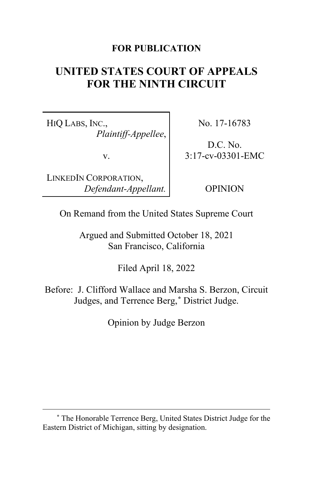## **FOR PUBLICATION**

# **UNITED STATES COURT OF APPEALS FOR THE NINTH CIRCUIT**

HIQ LABS, INC., *Plaintiff-Appellee*,

v.

LINKEDIN CORPORATION, *Defendant-Appellant.* No. 17-16783

D.C. No. 3:17-cv-03301-EMC

OPINION

On Remand from the United States Supreme Court

Argued and Submitted October 18, 2021 San Francisco, California

Filed April 18, 2022

Before: J. Clifford Wallace and Marsha S. Berzon, Circuit Judges, and Terrence Berg,**[\\*](#page-0-0)** District Judge.

Opinion by Judge Berzon

<span id="page-0-0"></span>**<sup>\*</sup>** The Honorable Terrence Berg, United States District Judge for the Eastern District of Michigan, sitting by designation.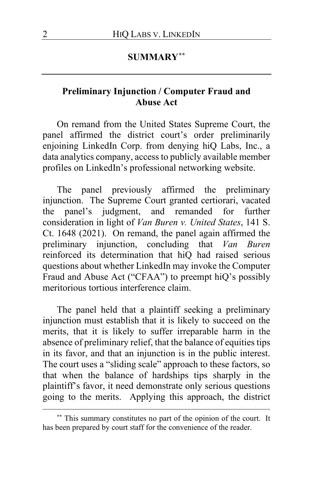## **SUMMARY[\\*\\*](#page-1-0)**

## **Preliminary Injunction / Computer Fraud and Abuse Act**

On remand from the United States Supreme Court, the panel affirmed the district court's order preliminarily enjoining LinkedIn Corp. from denying hiQ Labs, Inc., a data analytics company, access to publicly available member profiles on LinkedIn's professional networking website.

The panel previously affirmed the preliminary injunction. The Supreme Court granted certiorari, vacated the panel's judgment, and remanded for further consideration in light of *Van Buren v. United States*, 141 S. Ct. 1648 (2021). On remand, the panel again affirmed the preliminary injunction, concluding that *Van Buren* reinforced its determination that hiQ had raised serious questions about whether LinkedIn may invoke the Computer Fraud and Abuse Act ("CFAA") to preempt hiQ's possibly meritorious tortious interference claim.

The panel held that a plaintiff seeking a preliminary injunction must establish that it is likely to succeed on the merits, that it is likely to suffer irreparable harm in the absence of preliminary relief, that the balance of equities tips in its favor, and that an injunction is in the public interest. The court uses a "sliding scale" approach to these factors, so that when the balance of hardships tips sharply in the plaintiff's favor, it need demonstrate only serious questions going to the merits. Applying this approach, the district

<span id="page-1-0"></span>**<sup>\*\*</sup>** This summary constitutes no part of the opinion of the court. It has been prepared by court staff for the convenience of the reader.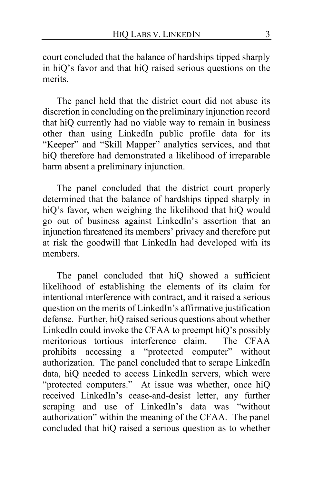court concluded that the balance of hardships tipped sharply in hiQ's favor and that hiQ raised serious questions on the merits.

The panel held that the district court did not abuse its discretion in concluding on the preliminary injunction record that hiQ currently had no viable way to remain in business other than using LinkedIn public profile data for its "Keeper" and "Skill Mapper" analytics services, and that hiQ therefore had demonstrated a likelihood of irreparable harm absent a preliminary injunction.

The panel concluded that the district court properly determined that the balance of hardships tipped sharply in hiQ's favor, when weighing the likelihood that hiQ would go out of business against LinkedIn's assertion that an injunction threatened its members' privacy and therefore put at risk the goodwill that LinkedIn had developed with its members.

The panel concluded that hiQ showed a sufficient likelihood of establishing the elements of its claim for intentional interference with contract, and it raised a serious question on the merits of LinkedIn's affirmative justification defense. Further, hiQ raised serious questions about whether LinkedIn could invoke the CFAA to preempt hiQ's possibly meritorious tortious interference claim. The CFAA prohibits accessing a "protected computer" without authorization. The panel concluded that to scrape LinkedIn data, hiQ needed to access LinkedIn servers, which were "protected computers." At issue was whether, once hiQ received LinkedIn's cease-and-desist letter, any further scraping and use of LinkedIn's data was "without authorization" within the meaning of the CFAA. The panel concluded that hiQ raised a serious question as to whether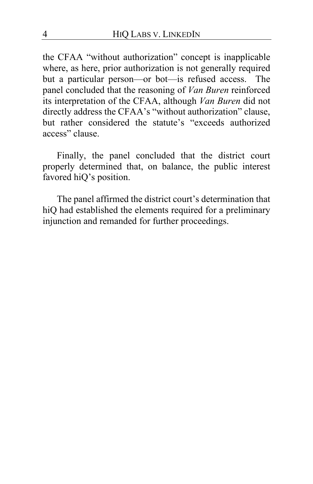the CFAA "without authorization" concept is inapplicable where, as here, prior authorization is not generally required but a particular person—or bot—is refused access. The panel concluded that the reasoning of *Van Buren* reinforced its interpretation of the CFAA, although *Van Buren* did not directly address the CFAA's "without authorization" clause, but rather considered the statute's "exceeds authorized access" clause.

Finally, the panel concluded that the district court properly determined that, on balance, the public interest favored hiQ's position.

The panel affirmed the district court's determination that hiQ had established the elements required for a preliminary injunction and remanded for further proceedings.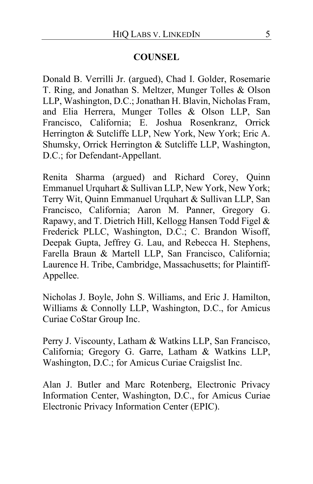## **COUNSEL**

Donald B. Verrilli Jr. (argued), Chad I. Golder, Rosemarie T. Ring, and Jonathan S. Meltzer, Munger Tolles & Olson LLP, Washington, D.C.; Jonathan H. Blavin, Nicholas Fram, and Elia Herrera, Munger Tolles & Olson LLP, San Francisco, California; E. Joshua Rosenkranz, Orrick Herrington & Sutcliffe LLP, New York, New York; Eric A. Shumsky, Orrick Herrington & Sutcliffe LLP, Washington, D.C.; for Defendant-Appellant.

Renita Sharma (argued) and Richard Corey, Quinn Emmanuel Urquhart & Sullivan LLP, New York, New York; Terry Wit, Quinn Emmanuel Urquhart & Sullivan LLP, San Francisco, California; Aaron M. Panner, Gregory G. Rapawy, and T. Dietrich Hill, Kellogg Hansen Todd Figel & Frederick PLLC, Washington, D.C.; C. Brandon Wisoff, Deepak Gupta, Jeffrey G. Lau, and Rebecca H. Stephens, Farella Braun & Martell LLP, San Francisco, California; Laurence H. Tribe, Cambridge, Massachusetts; for Plaintiff-Appellee.

Nicholas J. Boyle, John S. Williams, and Eric J. Hamilton, Williams & Connolly LLP, Washington, D.C., for Amicus Curiae CoStar Group Inc.

Perry J. Viscounty, Latham & Watkins LLP, San Francisco, California; Gregory G. Garre, Latham & Watkins LLP, Washington, D.C.; for Amicus Curiae Craigslist Inc.

Alan J. Butler and Marc Rotenberg, Electronic Privacy Information Center, Washington, D.C., for Amicus Curiae Electronic Privacy Information Center (EPIC).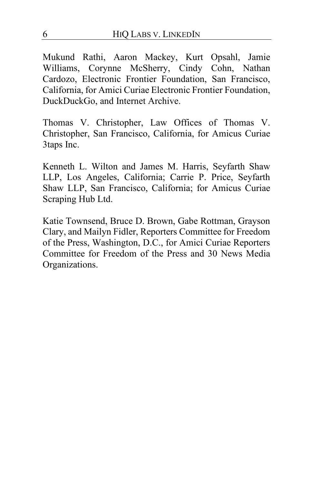Mukund Rathi, Aaron Mackey, Kurt Opsahl, Jamie Williams, Corynne McSherry, Cindy Cohn, Nathan Cardozo, Electronic Frontier Foundation, San Francisco, California, for Amici Curiae Electronic Frontier Foundation, DuckDuckGo, and Internet Archive.

Thomas V. Christopher, Law Offices of Thomas V. Christopher, San Francisco, California, for Amicus Curiae 3taps Inc.

Kenneth L. Wilton and James M. Harris, Seyfarth Shaw LLP, Los Angeles, California; Carrie P. Price, Seyfarth Shaw LLP, San Francisco, California; for Amicus Curiae Scraping Hub Ltd.

Katie Townsend, Bruce D. Brown, Gabe Rottman, Grayson Clary, and Mailyn Fidler, Reporters Committee for Freedom of the Press, Washington, D.C., for Amici Curiae Reporters Committee for Freedom of the Press and 30 News Media Organizations.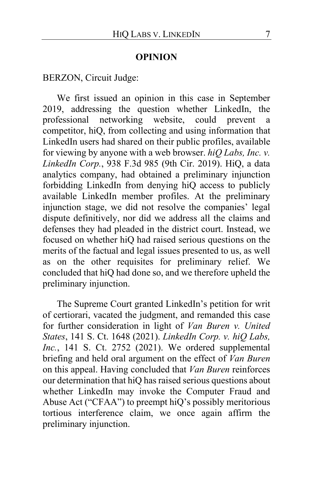#### **OPINION**

BERZON, Circuit Judge:

We first issued an opinion in this case in September 2019, addressing the question whether LinkedIn, the professional networking website, could prevent a professional networking website, could prevent a competitor, hiQ, from collecting and using information that LinkedIn users had shared on their public profiles, available for viewing by anyone with a web browser. *hiQ Labs, Inc. v. LinkedIn Corp.*, 938 F.3d 985 (9th Cir. 2019). HiQ, a data analytics company, had obtained a preliminary injunction forbidding LinkedIn from denying hiQ access to publicly available LinkedIn member profiles. At the preliminary injunction stage, we did not resolve the companies' legal dispute definitively, nor did we address all the claims and defenses they had pleaded in the district court. Instead, we focused on whether hiQ had raised serious questions on the merits of the factual and legal issues presented to us, as well as on the other requisites for preliminary relief. We concluded that hiQ had done so, and we therefore upheld the preliminary injunction.

The Supreme Court granted LinkedIn's petition for writ of certiorari, vacated the judgment, and remanded this case for further consideration in light of *Van Buren v. United States*, 141 S. Ct. 1648 (2021). *LinkedIn Corp. v. hiQ Labs, Inc.*, 141 S. Ct. 2752 (2021). We ordered supplemental briefing and held oral argument on the effect of *Van Buren* on this appeal. Having concluded that *Van Buren* reinforces our determination that hiQ has raised serious questions about whether LinkedIn may invoke the Computer Fraud and Abuse Act ("CFAA") to preempt hiQ's possibly meritorious tortious interference claim, we once again affirm the preliminary injunction.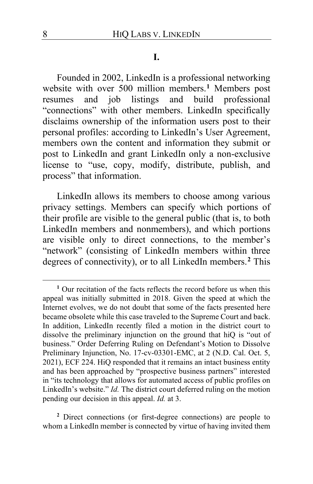#### **I.**

Founded in 2002, LinkedIn is a professional networking website with over 500 million members.**[1](#page-7-0)** Members post resumes and job listings and build professional "connections" with other members. LinkedIn specifically disclaims ownership of the information users post to their personal profiles: according to LinkedIn's User Agreement, members own the content and information they submit or post to LinkedIn and grant LinkedIn only a non-exclusive license to "use, copy, modify, distribute, publish, and process" that information.

LinkedIn allows its members to choose among various privacy settings. Members can specify which portions of their profile are visible to the general public (that is, to both LinkedIn members and nonmembers), and which portions are visible only to direct connections, to the member's "network" (consisting of LinkedIn members within three degrees of connectivity), or to all LinkedIn members.**[2](#page-7-1)** This

<span id="page-7-1"></span>**<sup>2</sup>** Direct connections (or first-degree connections) are people to whom a LinkedIn member is connected by virtue of having invited them

<span id="page-7-0"></span>**<sup>1</sup>** Our recitation of the facts reflects the record before us when this appeal was initially submitted in 2018. Given the speed at which the Internet evolves, we do not doubt that some of the facts presented here became obsolete while this case traveled to the Supreme Court and back. In addition, LinkedIn recently filed a motion in the district court to dissolve the preliminary injunction on the ground that hiQ is "out of business." Order Deferring Ruling on Defendant's Motion to Dissolve Preliminary Injunction, No. 17-cv-03301-EMC, at 2 (N.D. Cal. Oct. 5, 2021), ECF 224. HiQ responded that it remains an intact business entity and has been approached by "prospective business partners" interested in "its technology that allows for automated access of public profiles on LinkedIn's website." *Id.* The district court deferred ruling on the motion pending our decision in this appeal. *Id.* at 3.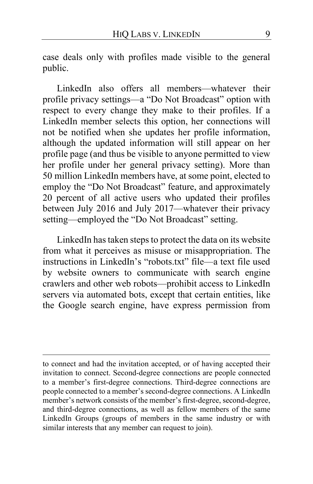case deals only with profiles made visible to the general public.

LinkedIn also offers all members—whatever their profile privacy settings—a "Do Not Broadcast" option with respect to every change they make to their profiles. If a LinkedIn member selects this option, her connections will not be notified when she updates her profile information, although the updated information will still appear on her profile page (and thus be visible to anyone permitted to view her profile under her general privacy setting). More than 50 million LinkedIn members have, at some point, elected to employ the "Do Not Broadcast" feature, and approximately 20 percent of all active users who updated their profiles between July 2016 and July 2017—whatever their privacy setting—employed the "Do Not Broadcast" setting.

LinkedIn has taken steps to protect the data on its website from what it perceives as misuse or misappropriation. The instructions in LinkedIn's "robots.txt" file—a text file used by website owners to communicate with search engine crawlers and other web robots—prohibit access to LinkedIn servers via automated bots, except that certain entities, like the Google search engine, have express permission from

to connect and had the invitation accepted, or of having accepted their invitation to connect. Second-degree connections are people connected to a member's first-degree connections. Third-degree connections are people connected to a member's second-degree connections. A LinkedIn member's network consists of the member's first-degree, second-degree, and third-degree connections, as well as fellow members of the same LinkedIn Groups (groups of members in the same industry or with similar interests that any member can request to join).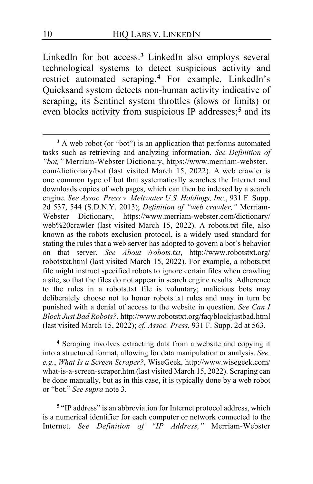LinkedIn for bot access.**[3](#page-9-0)** LinkedIn also employs several technological systems to detect suspicious activity and restrict automated scraping.**[4](#page-9-1)** For example, LinkedIn's Quicksand system detects non-human activity indicative of scraping; its Sentinel system throttles (slows or limits) or even blocks activity from suspicious IP addresses;**[5](#page-9-2)** and its

<span id="page-9-1"></span>**<sup>4</sup>** Scraping involves extracting data from a website and copying it into a structured format, allowing for data manipulation or analysis. *See, e.g.*, *What Is a Screen Scraper?*, WiseGeek, http://www.wisegeek.com/ what-is-a-screen-scraper.htm (last visited March 15, 2022). Scraping can be done manually, but as in this case, it is typically done by a web robot or "bot." *See supra* note 3.

<span id="page-9-2"></span>**<sup>5</sup>** "IP address" is an abbreviation for Internet protocol address, which is a numerical identifier for each computer or network connected to the Internet. *See Definition of "IP Address,"* Merriam-Webster

<span id="page-9-0"></span>**<sup>3</sup>** A web robot (or "bot") is an application that performs automated tasks such as retrieving and analyzing information. *See Definition of "bot,"* Merriam-Webster Dictionary, https://www.merriam-webster. com/dictionary/bot (last visited March 15, 2022). A web crawler is one common type of bot that systematically searches the Internet and downloads copies of web pages, which can then be indexed by a search engine. *See Assoc. Press v. Meltwater U.S. Holdings, Inc.*, 931 F. Supp. 2d 537, 544 (S.D.N.Y. 2013); *Definition of "web crawler,"* Merriam-Webster Dictionary, https://www.merriam-webster.com/dictionary/ web%20crawler (last visited March 15, 2022). A robots.txt file, also known as the robots exclusion protocol, is a widely used standard for stating the rules that a web server has adopted to govern a bot's behavior on that server. *See About /robots.txt*, http://www.robotstxt.org/ robotstxt.html (last visited March 15, 2022). For example, a robots.txt file might instruct specified robots to ignore certain files when crawling a site, so that the files do not appear in search engine results. Adherence to the rules in a robots.txt file is voluntary; malicious bots may deliberately choose not to honor robots.txt rules and may in turn be punished with a denial of access to the website in question. *See Can I Block Just Bad Robots?*, http://www.robotstxt.org/faq/blockjustbad.html (last visited March 15, 2022); *cf. Assoc. Press*, 931 F. Supp. 2d at 563.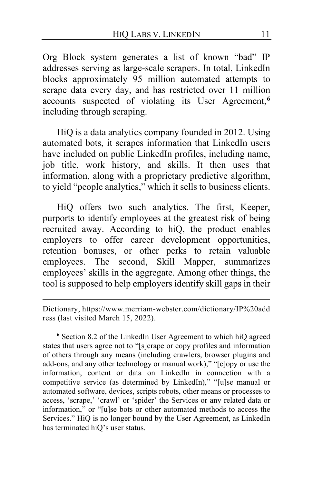Org Block system generates a list of known "bad" IP addresses serving as large-scale scrapers. In total, LinkedIn blocks approximately 95 million automated attempts to scrape data every day, and has restricted over 11 million accounts suspected of violating its User Agreement,**[6](#page-10-0)** including through scraping.

HiQ is a data analytics company founded in 2012. Using automated bots, it scrapes information that LinkedIn users have included on public LinkedIn profiles, including name, job title, work history, and skills. It then uses that information, along with a proprietary predictive algorithm, to yield "people analytics," which it sells to business clients.

HiQ offers two such analytics. The first, Keeper, purports to identify employees at the greatest risk of being recruited away. According to hiQ, the product enables employers to offer career development opportunities, retention bonuses, or other perks to retain valuable employees. The second, Skill Mapper, summarizes employees' skills in the aggregate. Among other things, the tool is supposed to help employers identify skill gaps in their

<span id="page-10-0"></span>**<sup>6</sup>** Section 8.2 of the LinkedIn User Agreement to which hiQ agreed states that users agree not to "[s]crape or copy profiles and information of others through any means (including crawlers, browser plugins and add-ons, and any other technology or manual work)," "[c]opy or use the information, content or data on LinkedIn in connection with a competitive service (as determined by LinkedIn)," "[u]se manual or automated software, devices, scripts robots, other means or processes to access, 'scrape,' 'crawl' or 'spider' the Services or any related data or information," or "[u]se bots or other automated methods to access the Services." HiQ is no longer bound by the User Agreement, as LinkedIn has terminated hiQ's user status.

Dictionary, https://www.merriam-webster.com/dictionary/IP%20add ress (last visited March 15, 2022).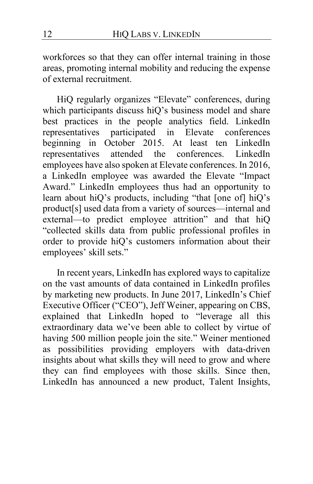workforces so that they can offer internal training in those areas, promoting internal mobility and reducing the expense of external recruitment.

HiQ regularly organizes "Elevate" conferences, during which participants discuss hiQ's business model and share best practices in the people analytics field. LinkedIn representatives participated in Elevate conferences beginning in October 2015. At least ten LinkedIn representatives attended the conferences. LinkedIn employees have also spoken at Elevate conferences. In 2016, a LinkedIn employee was awarded the Elevate "Impact Award." LinkedIn employees thus had an opportunity to learn about hiQ's products, including "that [one of] hiQ's product[s] used data from a variety of sources—internal and external—to predict employee attrition" and that hiQ "collected skills data from public professional profiles in order to provide hiQ's customers information about their employees' skill sets."

In recent years, LinkedIn has explored ways to capitalize on the vast amounts of data contained in LinkedIn profiles by marketing new products. In June 2017, LinkedIn's Chief Executive Officer ("CEO"), Jeff Weiner, appearing on CBS, explained that LinkedIn hoped to "leverage all this extraordinary data we've been able to collect by virtue of having 500 million people join the site." Weiner mentioned as possibilities providing employers with data-driven insights about what skills they will need to grow and where they can find employees with those skills. Since then, LinkedIn has announced a new product, Talent Insights,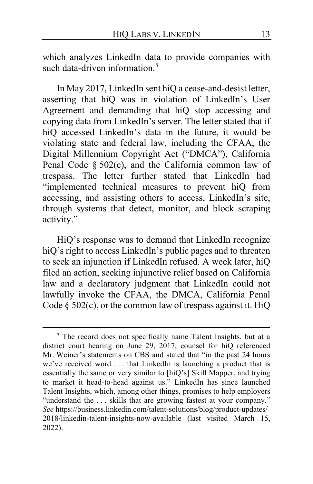which analyzes LinkedIn data to provide companies with such data-driven information.**[7](#page-12-0)**

In May 2017, LinkedIn sent hiQ a cease-and-desist letter, asserting that hiQ was in violation of LinkedIn's User Agreement and demanding that hiQ stop accessing and copying data from LinkedIn's server. The letter stated that if hiQ accessed LinkedIn's data in the future, it would be violating state and federal law, including the CFAA, the Digital Millennium Copyright Act ("DMCA"), California Penal Code § 502(c), and the California common law of trespass. The letter further stated that LinkedIn had "implemented technical measures to prevent hiQ from accessing, and assisting others to access, LinkedIn's site, through systems that detect, monitor, and block scraping activity."

HiQ's response was to demand that LinkedIn recognize hiQ's right to access LinkedIn's public pages and to threaten to seek an injunction if LinkedIn refused. A week later, hiQ filed an action, seeking injunctive relief based on California law and a declaratory judgment that LinkedIn could not lawfully invoke the CFAA, the DMCA, California Penal Code  $\S$  502(c), or the common law of trespass against it. HiQ

<span id="page-12-0"></span>**<sup>7</sup>** The record does not specifically name Talent Insights, but at a district court hearing on June 29, 2017, counsel for hiQ referenced Mr. Weiner's statements on CBS and stated that "in the past 24 hours we've received word . . . that LinkedIn is launching a product that is essentially the same or very similar to [hiQ's] Skill Mapper, and trying to market it head-to-head against us." LinkedIn has since launched Talent Insights, which, among other things, promises to help employers "understand the . . . skills that are growing fastest at your company." *See* https://business.linkedin.com/talent-solutions/blog/product-updates/ 2018/linkedin-talent-insights-now-available (last visited March 15, 2022).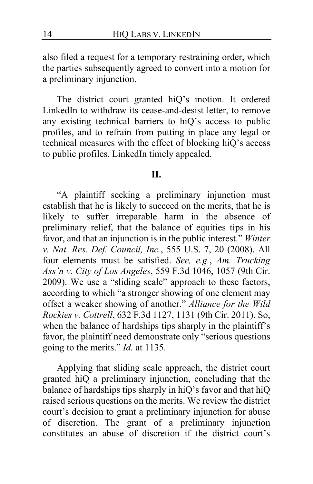also filed a request for a temporary restraining order, which the parties subsequently agreed to convert into a motion for a preliminary injunction.

The district court granted hiQ's motion. It ordered LinkedIn to withdraw its cease-and-desist letter, to remove any existing technical barriers to hiQ's access to public profiles, and to refrain from putting in place any legal or technical measures with the effect of blocking hiQ's access to public profiles. LinkedIn timely appealed.

#### **II.**

"A plaintiff seeking a preliminary injunction must establish that he is likely to succeed on the merits, that he is likely to suffer irreparable harm in the absence of preliminary relief, that the balance of equities tips in his favor, and that an injunction is in the public interest." *Winter v. Nat. Res. Def. Council, Inc.*, 555 U.S. 7, 20 (2008). All four elements must be satisfied. *See, e.g.*, *Am. Trucking Ass'n v. City of Los Angeles*, 559 F.3d 1046, 1057 (9th Cir. 2009). We use a "sliding scale" approach to these factors, according to which "a stronger showing of one element may offset a weaker showing of another." *Alliance for the Wild Rockies v. Cottrell*, 632 F.3d 1127, 1131 (9th Cir. 2011). So, when the balance of hardships tips sharply in the plaintiff's favor, the plaintiff need demonstrate only "serious questions going to the merits." *Id.* at 1135.

Applying that sliding scale approach, the district court granted hiQ a preliminary injunction, concluding that the balance of hardships tips sharply in hiQ's favor and that hiQ raised serious questions on the merits. We review the district court's decision to grant a preliminary injunction for abuse of discretion. The grant of a preliminary injunction constitutes an abuse of discretion if the district court's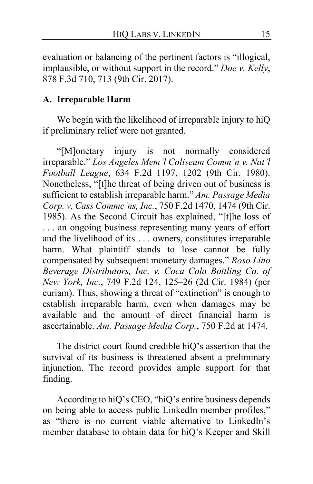evaluation or balancing of the pertinent factors is "illogical, implausible, or without support in the record." *Doe v. Kelly*, 878 F.3d 710, 713 (9th Cir. 2017).

### **A. Irreparable Harm**

We begin with the likelihood of irreparable injury to hiQ if preliminary relief were not granted.

"[M]onetary injury is not normally considered irreparable." *Los Angeles Mem'l Coliseum Comm'n v. Nat'l Football League*, 634 F.2d 1197, 1202 (9th Cir. 1980). Nonetheless, "[t]he threat of being driven out of business is sufficient to establish irreparable harm." *Am. Passage Media Corp. v. Cass Commc'ns, Inc.*, 750 F.2d 1470, 1474 (9th Cir. 1985). As the Second Circuit has explained, "[t]he loss of . . . an ongoing business representing many years of effort and the livelihood of its . . . owners, constitutes irreparable harm. What plaintiff stands to lose cannot be fully compensated by subsequent monetary damages." *Roso Lino Beverage Distributors, Inc. v. Coca Cola Bottling Co. of New York, Inc.*, 749 F.2d 124, 125–26 (2d Cir. 1984) (per curiam). Thus, showing a threat of "extinction" is enough to establish irreparable harm, even when damages may be available and the amount of direct financial harm is ascertainable. *Am. Passage Media Corp.*, 750 F.2d at 1474.

<span id="page-14-0"></span>The district court found credible hiQ's assertion that the survival of its business is threatened absent a preliminary injunction. The record provides ample support for that finding.

According to hiQ's CEO, "hiQ's entire business depends on being able to access public LinkedIn member profiles," as "there is no current viable alternative to LinkedIn's member database to obtain data for hiQ's Keeper and Skill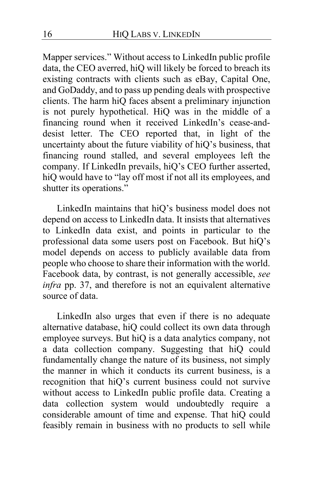Mapper services." Without access to LinkedIn public profile data, the CEO averred, hiQ will likely be forced to breach its existing contracts with clients such as eBay, Capital One, and GoDaddy, and to pass up pending deals with prospective clients. The harm hiQ faces absent a preliminary injunction is not purely hypothetical. HiQ was in the middle of a financing round when it received LinkedIn's cease-anddesist letter. The CEO reported that, in light of the uncertainty about the future viability of hiQ's business, that financing round stalled, and several employees left the company. If LinkedIn prevails, hiQ's CEO further asserted, hiQ would have to "lay off most if not all its employees, and shutter its operations."

LinkedIn maintains that hiQ's business model does not depend on access to LinkedIn data. It insists that alternatives to LinkedIn data exist, and points in particular to the professional data some users post on Facebook. But hiQ's model depends on access to publicly available data from people who choose to share their information with the world. Facebook data, by contrast, is not generally accessible, *see infra* pp. [37,](#page-36-0) and therefore is not an equivalent alternative source of data.

LinkedIn also urges that even if there is no adequate alternative database, hiQ could collect its own data through employee surveys. But hiQ is a data analytics company, not a data collection company. Suggesting that hiQ could fundamentally change the nature of its business, not simply the manner in which it conducts its current business, is a recognition that hiQ's current business could not survive without access to LinkedIn public profile data. Creating a data collection system would undoubtedly require a considerable amount of time and expense. That hiQ could feasibly remain in business with no products to sell while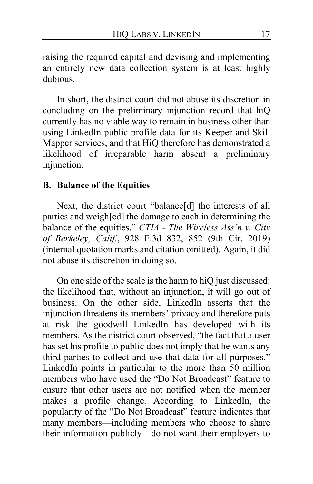raising the required capital and devising and implementing an entirely new data collection system is at least highly dubious.

In short, the district court did not abuse its discretion in concluding on the preliminary injunction record that hiQ currently has no viable way to remain in business other than using LinkedIn public profile data for its Keeper and Skill Mapper services, and that HiQ therefore has demonstrated a likelihood of irreparable harm absent a preliminary injunction.

#### <span id="page-16-1"></span><span id="page-16-0"></span>**B. Balance of the Equities**

Next, the district court "balance[d] the interests of all parties and weigh[ed] the damage to each in determining the balance of the equities." *CTIA - The Wireless Ass'n v. City of Berkeley, Calif.*, 928 F.3d 832, 852 (9th Cir. 2019) (internal quotation marks and citation omitted). Again, it did not abuse its discretion in doing so.

On one side of the scale is the harm to hiQ just discussed: the likelihood that, without an injunction, it will go out of business. On the other side, LinkedIn asserts that the injunction threatens its members' privacy and therefore puts at risk the goodwill LinkedIn has developed with its members. As the district court observed, "the fact that a user has set his profile to public does not imply that he wants any third parties to collect and use that data for all purposes." LinkedIn points in particular to the more than 50 million members who have used the "Do Not Broadcast" feature to ensure that other users are not notified when the member makes a profile change. According to LinkedIn, the popularity of the "Do Not Broadcast" feature indicates that many members—including members who choose to share their information publicly—do not want their employers to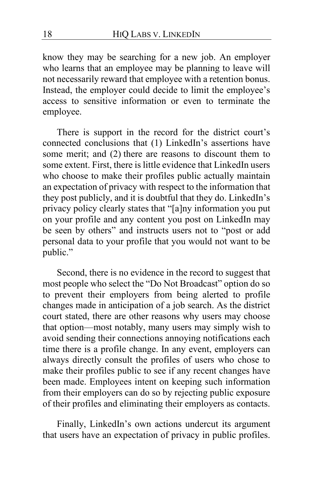know they may be searching for a new job. An employer who learns that an employee may be planning to leave will not necessarily reward that employee with a retention bonus. Instead, the employer could decide to limit the employee's access to sensitive information or even to terminate the employee.

There is support in the record for the district court's connected conclusions that (1) LinkedIn's assertions have some merit; and (2) there are reasons to discount them to some extent. First, there is little evidence that LinkedIn users who choose to make their profiles public actually maintain an expectation of privacy with respect to the information that they post publicly, and it is doubtful that they do. LinkedIn's privacy policy clearly states that "[a]ny information you put on your profile and any content you post on LinkedIn may be seen by others" and instructs users not to "post or add personal data to your profile that you would not want to be public."

Second, there is no evidence in the record to suggest that most people who select the "Do Not Broadcast" option do so to prevent their employers from being alerted to profile changes made in anticipation of a job search. As the district court stated, there are other reasons why users may choose that option—most notably, many users may simply wish to avoid sending their connections annoying notifications each time there is a profile change. In any event, employers can always directly consult the profiles of users who chose to make their profiles public to see if any recent changes have been made. Employees intent on keeping such information from their employers can do so by rejecting public exposure of their profiles and eliminating their employers as contacts.

Finally, LinkedIn's own actions undercut its argument that users have an expectation of privacy in public profiles.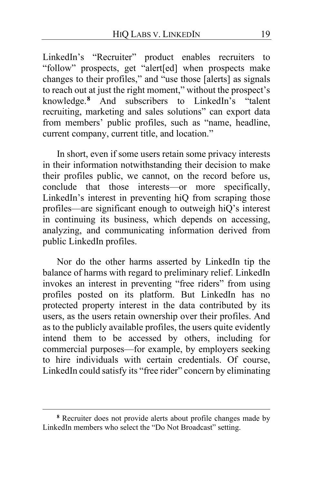LinkedIn's "Recruiter" product enables recruiters to "follow" prospects, get "alert[ed] when prospects make changes to their profiles," and "use those [alerts] as signals to reach out at just the right moment," without the prospect's knowledge.**[8](#page-18-0)** And subscribers to LinkedIn's "talent recruiting, marketing and sales solutions" can export data from members' public profiles, such as "name, headline, current company, current title, and location."

In short, even if some users retain some privacy interests in their information notwithstanding their decision to make their profiles public, we cannot, on the record before us, conclude that those interests—or more specifically, LinkedIn's interest in preventing hiQ from scraping those profiles—are significant enough to outweigh hiQ's interest in continuing its business, which depends on accessing, analyzing, and communicating information derived from public LinkedIn profiles.

Nor do the other harms asserted by LinkedIn tip the balance of harms with regard to preliminary relief. LinkedIn invokes an interest in preventing "free riders" from using profiles posted on its platform. But LinkedIn has no protected property interest in the data contributed by its users, as the users retain ownership over their profiles. And as to the publicly available profiles, the users quite evidently intend them to be accessed by others, including for commercial purposes—for example, by employers seeking to hire individuals with certain credentials. Of course, LinkedIn could satisfy its "free rider" concern by eliminating

<span id="page-18-0"></span>**<sup>8</sup>** Recruiter does not provide alerts about profile changes made by LinkedIn members who select the "Do Not Broadcast" setting.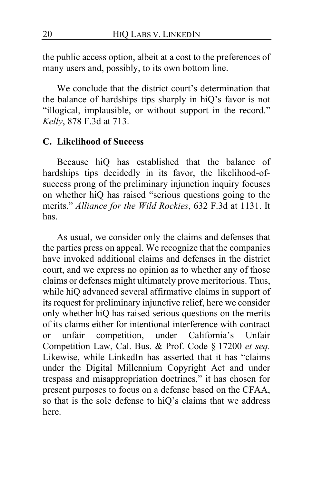the public access option, albeit at a cost to the preferences of many users and, possibly, to its own bottom line.

We conclude that the district court's determination that the balance of hardships tips sharply in hiQ's favor is not "illogical, implausible, or without support in the record." *Kelly*, 878 F.3d at 713.

### <span id="page-19-0"></span>**C. Likelihood of Success**

Because hiQ has established that the balance of hardships tips decidedly in its favor, the likelihood-ofsuccess prong of the preliminary injunction inquiry focuses on whether hiQ has raised "serious questions going to the merits." *Alliance for the Wild Rockies*, 632 F.3d at 1131. It has.

<span id="page-19-1"></span>As usual, we consider only the claims and defenses that the parties press on appeal. We recognize that the companies have invoked additional claims and defenses in the district court, and we express no opinion as to whether any of those claims or defenses might ultimately prove meritorious. Thus, while hiQ advanced several affirmative claims in support of its request for preliminary injunctive relief, here we consider only whether hiQ has raised serious questions on the merits of its claims either for intentional interference with contract or unfair competition, under California's Unfair Competition Law, Cal. Bus. & Prof. Code § 17200 *et seq.* Likewise, while LinkedIn has asserted that it has "claims under the Digital Millennium Copyright Act and under trespass and misappropriation doctrines," it has chosen for present purposes to focus on a defense based on the CFAA, so that is the sole defense to hiQ's claims that we address here.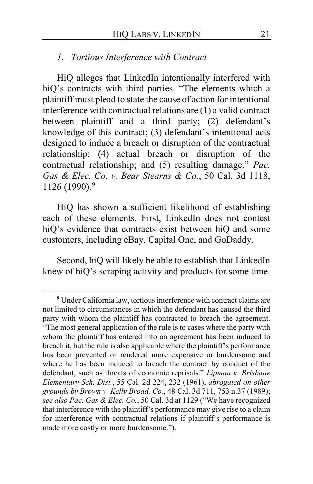### *1. Tortious Interference with Contract*

HiQ alleges that LinkedIn intentionally interfered with hiQ's contracts with third parties. "The elements which a plaintiff must plead to state the cause of action for intentional interference with contractual relations are (1) a valid contract between plaintiff and a third party; (2) defendant's knowledge of this contract; (3) defendant's intentional acts designed to induce a breach or disruption of the contractual relationship; (4) actual breach or disruption of the contractual relationship; and (5) resulting damage." *Pac. Gas & Elec. Co. v. Bear Stearns & Co.*, 50 Cal. 3d 1118, 1126 (1990).**[9](#page-20-0)**

HiQ has shown a sufficient likelihood of establishing each of these elements. First, LinkedIn does not contest hiQ's evidence that contracts exist between hiQ and some customers, including eBay, Capital One, and GoDaddy.

Second, hiQ will likely be able to establish that LinkedIn knew of hiQ's scraping activity and products for some time.

<span id="page-20-0"></span>**<sup>9</sup>** Under California law, tortious interference with contract claims are not limited to circumstances in which the defendant has caused the third party with whom the plaintiff has contracted to breach the agreement. "The most general application of the rule is to cases where the party with whom the plaintiff has entered into an agreement has been induced to breach it, but the rule is also applicable where the plaintiff's performance has been prevented or rendered more expensive or burdensome and where he has been induced to breach the contract by conduct of the defendant, such as threats of economic reprisals." *Lipman v. Brisbane Elementary Sch. Dist.*, 55 Cal. 2d 224, 232 (1961), *abrogated on other grounds by Brown v. Kelly Broad. Co.*, 48 Cal. 3d 711, 753 n.37 (1989); *see also Pac. Gas & Elec. Co.*, 50 Cal. 3d at 1129 ("We have recognized that interference with the plaintiff's performance may give rise to a claim for interference with contractual relations if plaintiff's performance is made more costly or more burdensome.").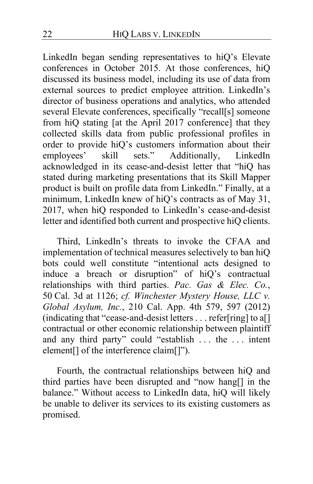LinkedIn began sending representatives to hiQ's Elevate conferences in October 2015. At those conferences, hiQ discussed its business model, including its use of data from external sources to predict employee attrition. LinkedIn's director of business operations and analytics, who attended several Elevate conferences, specifically "recall[s] someone from hiQ stating [at the April 2017 conference] that they collected skills data from public professional profiles in order to provide hiQ's customers information about their<br>employees' skill sets." Additionally, LinkedIn employees' skill sets." Additionally, LinkedIn acknowledged in its cease-and-desist letter that "hiQ has stated during marketing presentations that its Skill Mapper product is built on profile data from LinkedIn." Finally, at a minimum, LinkedIn knew of hiQ's contracts as of May 31, 2017, when hiQ responded to LinkedIn's cease-and-desist letter and identified both current and prospective hiQ clients.

Third, LinkedIn's threats to invoke the CFAA and implementation of technical measures selectively to ban hiQ bots could well constitute "intentional acts designed to induce a breach or disruption" of hiQ's contractual relationships with third parties. *Pac. Gas & Elec. Co.*, 50 Cal. 3d at 1126; *cf. Winchester Mystery House, LLC v. Global Asylum, Inc.*, 210 Cal. App. 4th 579, 597 (2012) (indicating that "cease-and-desist letters . . . refer[ring] to a[] contractual or other economic relationship between plaintiff and any third party" could "establish . . . the . . . intent element<sup>[]</sup> of the interference claim<sup>[]"</sup>).

Fourth, the contractual relationships between hiQ and third parties have been disrupted and "now hang[] in the balance." Without access to LinkedIn data, hiQ will likely be unable to deliver its services to its existing customers as promised.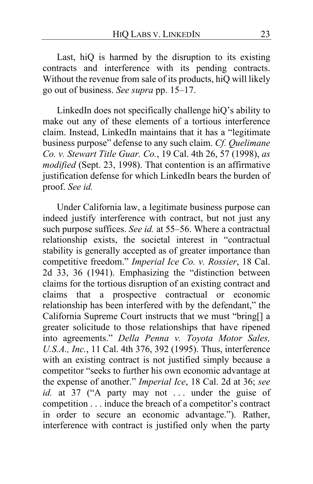Last, hiQ is harmed by the disruption to its existing contracts and interference with its pending contracts. Without the revenue from sale of its products, hiQ will likely go out of business. *See supra* pp. [15](#page-14-0)[–17.](#page-16-0)

LinkedIn does not specifically challenge hiQ's ability to make out any of these elements of a tortious interference claim. Instead, LinkedIn maintains that it has a "legitimate business purpose" defense to any such claim. *Cf. Quelimane Co. v. Stewart Title Guar. Co.*, 19 Cal. 4th 26, 57 (1998), *as modified* (Sept. 23, 1998). That contention is an affirmative justification defense for which LinkedIn bears the burden of proof. *See id.*

Under California law, a legitimate business purpose can indeed justify interference with contract, but not just any such purpose suffices. *See id.* at 55–56. Where a contractual relationship exists, the societal interest in "contractual stability is generally accepted as of greater importance than competitive freedom." *Imperial Ice Co. v. Rossier*, 18 Cal. 2d 33, 36 (1941). Emphasizing the "distinction between claims for the tortious disruption of an existing contract and claims that a prospective contractual or economic relationship has been interfered with by the defendant," the California Supreme Court instructs that we must "bring[] a greater solicitude to those relationships that have ripened into agreements." *Della Penna v. Toyota Motor Sales, U.S.A., Inc.*, 11 Cal. 4th 376, 392 (1995). Thus, interference with an existing contract is not justified simply because a competitor "seeks to further his own economic advantage at the expense of another." *Imperial Ice*, 18 Cal. 2d at 36; *see id.* at 37 ("A party may not ... under the guise of competition . . . induce the breach of a competitor's contract in order to secure an economic advantage."). Rather, interference with contract is justified only when the party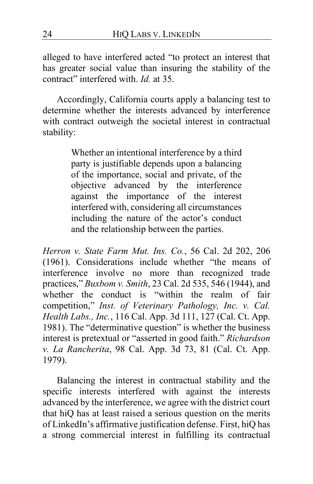alleged to have interfered acted "to protect an interest that has greater social value than insuring the stability of the contract" interfered with. *Id.* at 35.

Accordingly, California courts apply a balancing test to determine whether the interests advanced by interference with contract outweigh the societal interest in contractual stability:

> Whether an intentional interference by a third party is justifiable depends upon a balancing of the importance, social and private, of the objective advanced by the interference against the importance of the interest interfered with, considering all circumstances including the nature of the actor's conduct and the relationship between the parties.

*Herron v. State Farm Mut. Ins. Co.*, 56 Cal. 2d 202, 206 (1961). Considerations include whether "the means of interference involve no more than recognized trade practices," *Buxbom v. Smith*, 23 Cal. 2d 535, 546 (1944), and whether the conduct is "within the realm of fair competition," *Inst. of Veterinary Pathology, Inc. v. Cal. Health Labs., Inc.*, 116 Cal. App. 3d 111, 127 (Cal. Ct. App. 1981). The "determinative question" is whether the business interest is pretextual or "asserted in good faith." *Richardson v. La Rancherita*, 98 Cal. App. 3d 73, 81 (Cal. Ct. App. 1979).

Balancing the interest in contractual stability and the specific interests interfered with against the interests advanced by the interference, we agree with the district court that hiQ has at least raised a serious question on the merits of LinkedIn's affirmative justification defense. First, hiQ has a strong commercial interest in fulfilling its contractual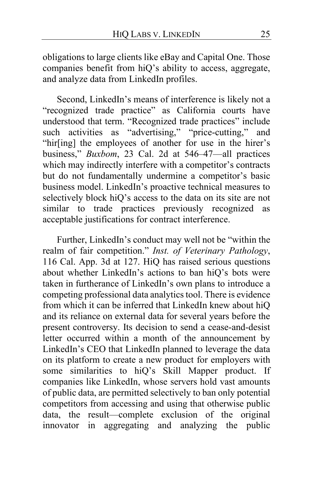obligations to large clients like eBay and Capital One. Those companies benefit from hiQ's ability to access, aggregate, and analyze data from LinkedIn profiles.

Second, LinkedIn's means of interference is likely not a "recognized trade practice" as California courts have understood that term. "Recognized trade practices" include such activities as "advertising," "price-cutting," and "hir[ing] the employees of another for use in the hirer's business," *Buxbom*, 23 Cal. 2d at 546–47—all practices which may indirectly interfere with a competitor's contracts but do not fundamentally undermine a competitor's basic business model. LinkedIn's proactive technical measures to selectively block hiQ's access to the data on its site are not similar to trade practices previously recognized as acceptable justifications for contract interference.

Further, LinkedIn's conduct may well not be "within the realm of fair competition." *Inst. of Veterinary Pathology*, 116 Cal. App. 3d at 127. HiQ has raised serious questions about whether LinkedIn's actions to ban hiQ's bots were taken in furtherance of LinkedIn's own plans to introduce a competing professional data analytics tool. There is evidence from which it can be inferred that LinkedIn knew about hiQ and its reliance on external data for several years before the present controversy. Its decision to send a cease-and-desist letter occurred within a month of the announcement by LinkedIn's CEO that LinkedIn planned to leverage the data on its platform to create a new product for employers with some similarities to hiQ's Skill Mapper product. If companies like LinkedIn, whose servers hold vast amounts of public data, are permitted selectively to ban only potential competitors from accessing and using that otherwise public data, the result—complete exclusion of the original innovator in aggregating and analyzing the public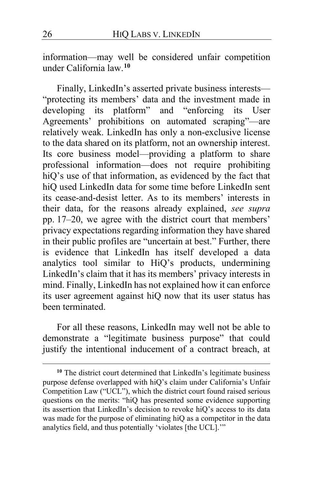information—may well be considered unfair competition under California law.**[10](#page-25-0)**

Finally, LinkedIn's asserted private business interests— "protecting its members' data and the investment made in developing its platform" and "enforcing its User Agreements' prohibitions on automated scraping"—are relatively weak. LinkedIn has only a non-exclusive license to the data shared on its platform, not an ownership interest. Its core business model—providing a platform to share professional information—does not require prohibiting hiQ's use of that information, as evidenced by the fact that hiQ used LinkedIn data for some time before LinkedIn sent its cease-and-desist letter. As to its members' interests in their data, for the reasons already explained, *see supra* pp. [17–](#page-16-1)[20,](#page-19-0) we agree with the district court that members' privacy expectations regarding information they have shared in their public profiles are "uncertain at best." Further, there is evidence that LinkedIn has itself developed a data analytics tool similar to HiQ's products, undermining LinkedIn's claim that it has its members' privacy interests in mind. Finally, LinkedIn has not explained how it can enforce its user agreement against hiQ now that its user status has been terminated.

For all these reasons, LinkedIn may well not be able to demonstrate a "legitimate business purpose" that could justify the intentional inducement of a contract breach, at

<span id="page-25-0"></span><sup>&</sup>lt;sup>10</sup> The district court determined that LinkedIn's legitimate business purpose defense overlapped with hiQ's claim under California's Unfair Competition Law ("UCL"), which the district court found raised serious questions on the merits: "hiQ has presented some evidence supporting its assertion that LinkedIn's decision to revoke hiQ's access to its data was made for the purpose of eliminating hiQ as a competitor in the data analytics field, and thus potentially 'violates [the UCL].'"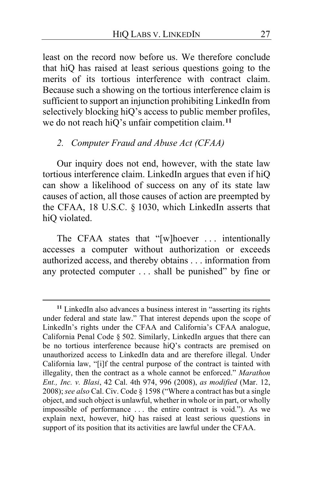least on the record now before us. We therefore conclude that hiQ has raised at least serious questions going to the merits of its tortious interference with contract claim. Because such a showing on the tortious interference claim is sufficient to support an injunction prohibiting LinkedIn from selectively blocking hiQ's access to public member profiles, we do not reach hiQ's unfair competition claim.**[11](#page-26-0)**

## *2. Computer Fraud and Abuse Act (CFAA)*

Our inquiry does not end, however, with the state law tortious interference claim. LinkedIn argues that even if hiQ can show a likelihood of success on any of its state law causes of action, all those causes of action are preempted by the CFAA, 18 U.S.C. § 1030, which LinkedIn asserts that hiQ violated.

The CFAA states that "[w]hoever ... intentionally accesses a computer without authorization or exceeds authorized access, and thereby obtains . . . information from any protected computer . . . shall be punished" by fine or

<span id="page-26-0"></span>**<sup>11</sup>** LinkedIn also advances a business interest in "asserting its rights under federal and state law." That interest depends upon the scope of LinkedIn's rights under the CFAA and California's CFAA analogue, California Penal Code § 502. Similarly, LinkedIn argues that there can be no tortious interference because hiQ's contracts are premised on unauthorized access to LinkedIn data and are therefore illegal. Under California law, "[i]f the central purpose of the contract is tainted with illegality, then the contract as a whole cannot be enforced." *Marathon Ent., Inc. v. Blasi*, 42 Cal. 4th 974, 996 (2008), *as modified* (Mar. 12, 2008); *see also* Cal. Civ. Code § 1598 ("Where a contract has but a single object, and such object is unlawful, whether in whole or in part, or wholly impossible of performance . . . the entire contract is void."). As we explain next, however, hiQ has raised at least serious questions in support of its position that its activities are lawful under the CFAA.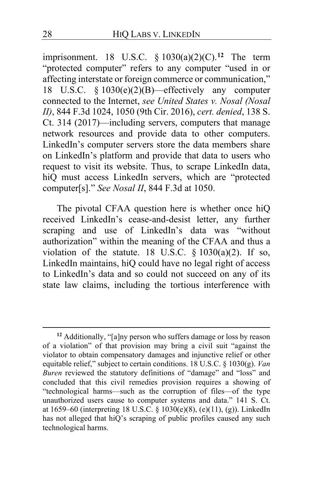imprisonment. 18 U.S.C. § 1030(a)(2)(C).**[12](#page-27-0)** The term "protected computer" refers to any computer "used in or affecting interstate or foreign commerce or communication," 18 U.S.C.  $\S$  1030(e)(2)(B)—effectively any computer connected to the Internet, *see United States v. Nosal (Nosal II)*, 844 F.3d 1024, 1050 (9th Cir. 2016), *cert. denied*, 138 S. Ct. 314 (2017)—including servers, computers that manage network resources and provide data to other computers. LinkedIn's computer servers store the data members share on LinkedIn's platform and provide that data to users who request to visit its website. Thus, to scrape LinkedIn data, hiQ must access LinkedIn servers, which are "protected computer[s]." *See Nosal II*, 844 F.3d at 1050.

The pivotal CFAA question here is whether once hiQ received LinkedIn's cease-and-desist letter, any further scraping and use of LinkedIn's data was "without authorization" within the meaning of the CFAA and thus a violation of the statute. 18 U.S.C.  $\S$  1030(a)(2). If so, LinkedIn maintains, hiQ could have no legal right of access to LinkedIn's data and so could not succeed on any of its state law claims, including the tortious interference with

<span id="page-27-0"></span>**<sup>12</sup>** Additionally, "[a]ny person who suffers damage or loss by reason of a violation" of that provision may bring a civil suit "against the violator to obtain compensatory damages and injunctive relief or other equitable relief," subject to certain conditions. 18 U.S.C. § 1030(g). *Van Buren* reviewed the statutory definitions of "damage" and "loss" and concluded that this civil remedies provision requires a showing of "technological harms—such as the corruption of files—of the type unauthorized users cause to computer systems and data." 141 S. Ct. at 1659–60 (interpreting 18 U.S.C. § 1030(e)(8), (e)(11), (g)). LinkedIn has not alleged that hiQ's scraping of public profiles caused any such technological harms.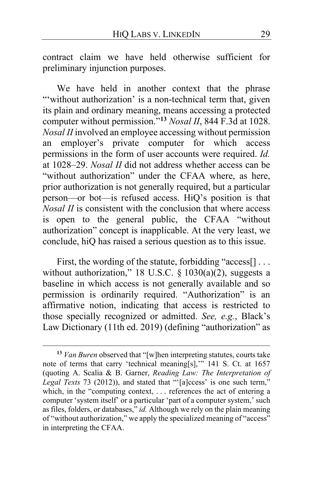contract claim we have held otherwise sufficient for preliminary injunction purposes.

We have held in another context that the phrase "without authorization' is a non-technical term that, given its plain and ordinary meaning, means accessing a protected computer without permission."**[13](#page-28-0)** *Nosal II*, 844 F.3d at 1028. *Nosal II* involved an employee accessing without permission an employer's private computer for which access permissions in the form of user accounts were required. *Id.* at 1028–29. *Nosal II* did not address whether access can be "without authorization" under the CFAA where, as here, prior authorization is not generally required, but a particular person—or bot—is refused access. HiQ's position is that *Nosal II* is consistent with the conclusion that where access is open to the general public, the CFAA "without authorization" concept is inapplicable. At the very least, we conclude, hiQ has raised a serious question as to this issue.

First, the wording of the statute, forbidding "access<sup>[]</sup>... without authorization," 18 U.S.C.  $\S$  1030(a)(2), suggests a baseline in which access is not generally available and so permission is ordinarily required. "Authorization" is an affirmative notion, indicating that access is restricted to those specially recognized or admitted. *See, e.g.*, Black's Law Dictionary (11th ed. 2019) (defining "authorization" as

<span id="page-28-0"></span>**<sup>13</sup>** *Van Buren* observed that "[w]hen interpreting statutes, courts take note of terms that carry 'technical meaning[s],'" 141 S. Ct. at 1657 (quoting A. Scalia & B. Garner, *Reading Law: The Interpretation of Legal Texts* 73 (2012)), and stated that "'[a]ccess' is one such term," which, in the "computing context, ... references the act of entering a computer 'system itself' or a particular 'part of a computer system,' such as files, folders, or databases," *id.* Although we rely on the plain meaning of "without authorization," we apply the specialized meaning of "access" in interpreting the CFAA.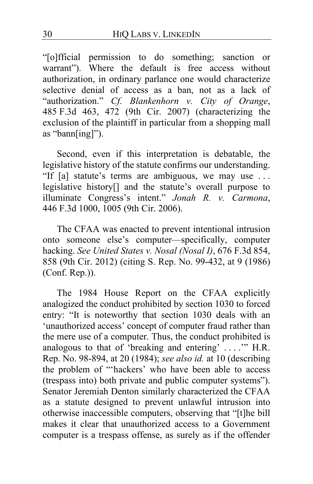"[o]fficial permission to do something; sanction or warrant"). Where the default is free access without authorization, in ordinary parlance one would characterize selective denial of access as a ban, not as a lack of "authorization." *Cf. Blankenhorn v. City of Orange*, 485 F.3d 463, 472 (9th Cir. 2007) (characterizing the exclusion of the plaintiff in particular from a shopping mall as "bann[ing]").

Second, even if this interpretation is debatable, the legislative history of the statute confirms our understanding. "If [a] statute's terms are ambiguous, we may use . . . legislative history[] and the statute's overall purpose to illuminate Congress's intent." *Jonah R. v. Carmona*, 446 F.3d 1000, 1005 (9th Cir. 2006).

The CFAA was enacted to prevent intentional intrusion onto someone else's computer—specifically, computer hacking. *See United States v. Nosal (Nosal I)*, 676 F.3d 854, 858 (9th Cir. 2012) (citing S. Rep. No. 99-432, at 9 (1986) (Conf. Rep.)).

The 1984 House Report on the CFAA explicitly analogized the conduct prohibited by section 1030 to forced entry: "It is noteworthy that section 1030 deals with an 'unauthorized access' concept of computer fraud rather than the mere use of a computer. Thus, the conduct prohibited is analogous to that of 'breaking and entering' . . . .'" H.R. Rep. No. 98-894, at 20 (1984); *see also id.* at 10 (describing the problem of "'hackers' who have been able to access (trespass into) both private and public computer systems"). Senator Jeremiah Denton similarly characterized the CFAA as a statute designed to prevent unlawful intrusion into otherwise inaccessible computers, observing that "[t]he bill makes it clear that unauthorized access to a Government computer is a trespass offense, as surely as if the offender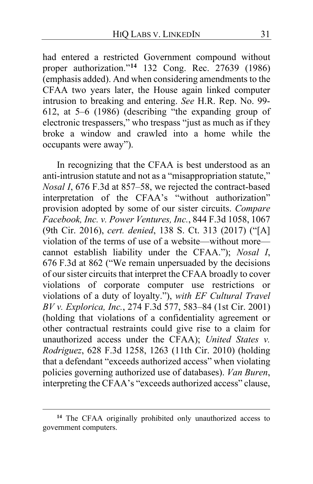had entered a restricted Government compound without proper authorization."**[14](#page-30-0)** 132 Cong. Rec. 27639 (1986) (emphasis added). And when considering amendments to the CFAA two years later, the House again linked computer intrusion to breaking and entering. *See* H.R. Rep. No. 99- 612, at 5–6 (1986) (describing "the expanding group of electronic trespassers," who trespass "just as much as if they broke a window and crawled into a home while the occupants were away").

In recognizing that the CFAA is best understood as an anti-intrusion statute and not as a "misappropriation statute," *Nosal I*, 676 F.3d at 857–58, we rejected the contract-based interpretation of the CFAA's "without authorization" provision adopted by some of our sister circuits. *Compare Facebook, Inc. v. Power Ventures, Inc.*, 844 F.3d 1058, 1067 (9th Cir. 2016), *cert. denied*, 138 S. Ct. 313 (2017) ("[A] violation of the terms of use of a website—without more cannot establish liability under the CFAA."); *Nosal I*, 676 F.3d at 862 ("We remain unpersuaded by the decisions of our sister circuits that interpret the CFAA broadly to cover violations of corporate computer use restrictions or violations of a duty of loyalty."), *with EF Cultural Travel BV v. Explorica, Inc.*, 274 F.3d 577, 583–84 (1st Cir. 2001) (holding that violations of a confidentiality agreement or other contractual restraints could give rise to a claim for unauthorized access under the CFAA); *United States v. Rodriguez*, 628 F.3d 1258, 1263 (11th Cir. 2010) (holding that a defendant "exceeds authorized access" when violating policies governing authorized use of databases). *Van Buren*, interpreting the CFAA's "exceeds authorized access" clause,

<span id="page-30-0"></span>**<sup>14</sup>** The CFAA originally prohibited only unauthorized access to government computers.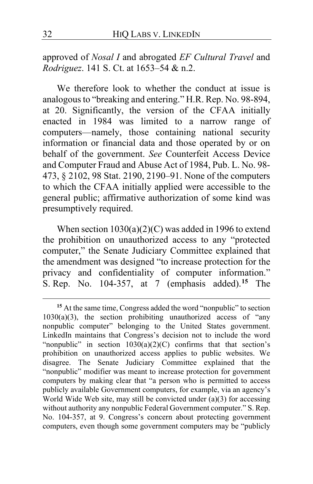approved of *Nosal I* and abrogated *EF Cultural Travel* and *Rodriguez*. 141 S. Ct. at 1653–54 & n.2.

We therefore look to whether the conduct at issue is analogous to "breaking and entering." H.R. Rep. No. 98-894, at 20. Significantly, the version of the CFAA initially enacted in 1984 was limited to a narrow range of computers—namely, those containing national security information or financial data and those operated by or on behalf of the government. *See* Counterfeit Access Device and Computer Fraud and Abuse Act of 1984, Pub. L. No. 98- 473, § 2102, 98 Stat. 2190, 2190–91. None of the computers to which the CFAA initially applied were accessible to the general public; affirmative authorization of some kind was presumptively required.

When section  $1030(a)(2)(C)$  was added in 1996 to extend the prohibition on unauthorized access to any "protected computer," the Senate Judiciary Committee explained that the amendment was designed "to increase protection for the privacy and confidentiality of computer information." S. Rep. No. 104-357, at 7 (emphasis added).**[15](#page-31-0)** The

<span id="page-31-0"></span>**<sup>15</sup>** At the same time, Congress added the word "nonpublic" to section  $1030(a)(3)$ , the section prohibiting unauthorized access of "any nonpublic computer" belonging to the United States government. LinkedIn maintains that Congress's decision not to include the word "nonpublic" in section  $1030(a)(2)(C)$  confirms that that section's prohibition on unauthorized access applies to public websites. We disagree. The Senate Judiciary Committee explained that the "nonpublic" modifier was meant to increase protection for government computers by making clear that "a person who is permitted to access publicly available Government computers, for example, via an agency's World Wide Web site, may still be convicted under  $(a)(3)$  for accessing without authority any nonpublic Federal Government computer." S. Rep. No. 104-357, at 9. Congress's concern about protecting government computers, even though some government computers may be "publicly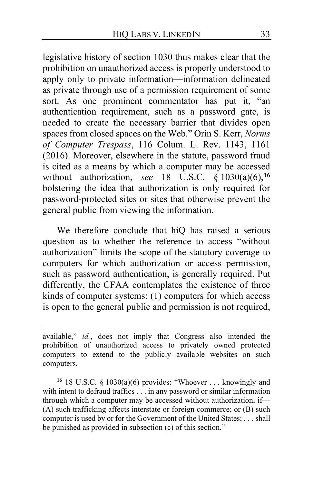legislative history of section 1030 thus makes clear that the prohibition on unauthorized access is properly understood to apply only to private information—information delineated as private through use of a permission requirement of some sort. As one prominent commentator has put it, "an authentication requirement, such as a password gate, is needed to create the necessary barrier that divides open spaces from closed spaces on the Web." Orin S. Kerr, *Norms of Computer Trespass*, 116 Colum. L. Rev. 1143, 1161 (2016). Moreover, elsewhere in the statute, password fraud is cited as a means by which a computer may be accessed without authorization, *see* 18 U.S.C. § 1030(a)(6),**[16](#page-32-0)** bolstering the idea that authorization is only required for password-protected sites or sites that otherwise prevent the general public from viewing the information.

<span id="page-32-1"></span>We therefore conclude that hiQ has raised a serious question as to whether the reference to access "without authorization" limits the scope of the statutory coverage to computers for which authorization or access permission, such as password authentication, is generally required. Put differently, the CFAA contemplates the existence of three kinds of computer systems: (1) computers for which access is open to the general public and permission is not required,

<span id="page-32-0"></span>**<sup>16</sup>** 18 U.S.C. § 1030(a)(6) provides: "Whoever . . . knowingly and with intent to defraud traffics . . . in any password or similar information through which a computer may be accessed without authorization, if— (A) such trafficking affects interstate or foreign commerce; or (B) such computer is used by or for the Government of the United States; . . . shall be punished as provided in subsection (c) of this section."

available," *id.*, does not imply that Congress also intended the prohibition of unauthorized access to privately owned protected computers to extend to the publicly available websites on such computers.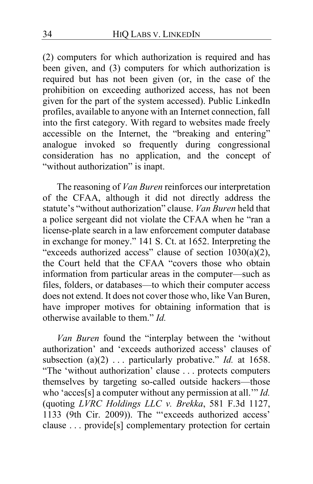<span id="page-33-0"></span>(2) computers for which authorization is required and has been given, and (3) computers for which authorization is required but has not been given (or, in the case of the prohibition on exceeding authorized access, has not been given for the part of the system accessed). Public LinkedIn profiles, available to anyone with an Internet connection, fall into the first category. With regard to websites made freely accessible on the Internet, the "breaking and entering" analogue invoked so frequently during congressional consideration has no application, and the concept of "without authorization" is inapt.

The reasoning of *Van Buren* reinforces our interpretation of the CFAA, although it did not directly address the statute's "without authorization" clause. *Van Buren* held that a police sergeant did not violate the CFAA when he "ran a license-plate search in a law enforcement computer database in exchange for money." 141 S. Ct. at 1652. Interpreting the "exceeds authorized access" clause of section 1030(a)(2), the Court held that the CFAA "covers those who obtain information from particular areas in the computer—such as files, folders, or databases—to which their computer access does not extend. It does not cover those who, like Van Buren, have improper motives for obtaining information that is otherwise available to them." *Id.*

*Van Buren* found the "interplay between the 'without authorization' and 'exceeds authorized access' clauses of subsection (a)(2) ... particularly probative." *Id.* at 1658. "The 'without authorization' clause . . . protects computers themselves by targeting so-called outside hackers—those who 'acces[s] a computer without any permission at all.'" *Id.* (quoting *LVRC Holdings LLC v. Brekka*, 581 F.3d 1127, 1133 (9th Cir. 2009)). The "'exceeds authorized access' clause . . . provide[s] complementary protection for certain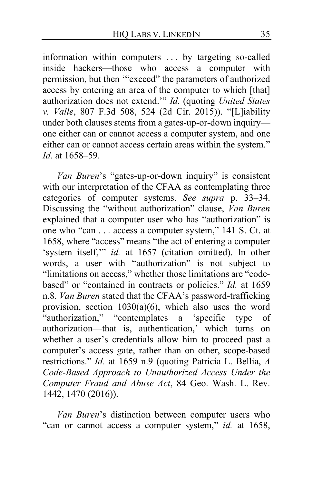information within computers . . . by targeting so-called inside hackers—those who access a computer with permission, but then '"exceed" the parameters of authorized access by entering an area of the computer to which [that] authorization does not extend.'" *Id.* (quoting *United States v. Valle*, 807 F.3d 508, 524 (2d Cir. 2015)). "[L]iability under both clauses stems from a gates-up-or-down inquiry one either can or cannot access a computer system, and one either can or cannot access certain areas within the system." *Id.* at 1658–59.

*Van Buren*'s "gates-up-or-down inquiry" is consistent with our interpretation of the CFAA as contemplating three categories of computer systems. *See supra* p. [33–](#page-32-1)[34.](#page-33-0) Discussing the "without authorization" clause, *Van Buren* explained that a computer user who has "authorization" is one who "can . . . access a computer system," 141 S. Ct. at 1658, where "access" means "the act of entering a computer 'system itself,"" id. at 1657 (citation omitted). In other words, a user with "authorization" is not subject to "limitations on access," whether those limitations are "codebased" or "contained in contracts or policies." *Id.* at 1659 n.8. *Van Buren* stated that the CFAA's password-trafficking provision, section  $1030(a)(6)$ , which also uses the word "authorization," "contemplates a 'specific type of authorization—that is, authentication,' which turns on whether a user's credentials allow him to proceed past a computer's access gate, rather than on other, scope-based restrictions." *Id.* at 1659 n.9 (quoting Patricia L. Bellia, *A Code-Based Approach to Unauthorized Access Under the Computer Fraud and Abuse Act*, 84 Geo. Wash. L. Rev. 1442, 1470 (2016)).

*Van Buren*'s distinction between computer users who "can or cannot access a computer system," *id.* at 1658,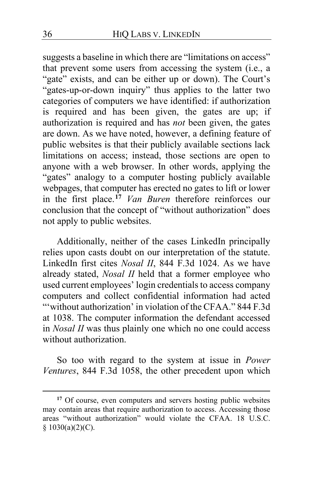suggests a baseline in which there are "limitations on access" that prevent some users from accessing the system (i.e., a "gate" exists, and can be either up or down). The Court's "gates-up-or-down inquiry" thus applies to the latter two categories of computers we have identified: if authorization is required and has been given, the gates are up; if authorization is required and has *not* been given, the gates are down. As we have noted, however, a defining feature of public websites is that their publicly available sections lack limitations on access; instead, those sections are open to anyone with a web browser. In other words, applying the "gates" analogy to a computer hosting publicly available webpages, that computer has erected no gates to lift or lower in the first place.**[17](#page-35-0)** *Van Buren* therefore reinforces our conclusion that the concept of "without authorization" does not apply to public websites.

Additionally, neither of the cases LinkedIn principally relies upon casts doubt on our interpretation of the statute. LinkedIn first cites *Nosal II*, 844 F.3d 1024. As we have already stated, *Nosal II* held that a former employee who used current employees' login credentials to access company computers and collect confidential information had acted "'without authorization' in violation of the CFAA." 844 F.3d at 1038. The computer information the defendant accessed in *Nosal II* was thus plainly one which no one could access without authorization.

So too with regard to the system at issue in *Power Ventures*, 844 F.3d 1058, the other precedent upon which

<span id="page-35-0"></span>**<sup>17</sup>** Of course, even computers and servers hosting public websites may contain areas that require authorization to access. Accessing those areas "without authorization" would violate the CFAA. 18 U.S.C.  $§ 1030(a)(2)(C).$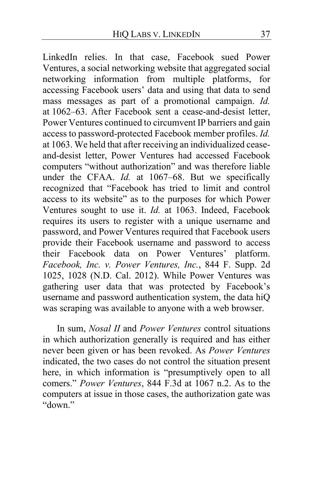<span id="page-36-0"></span>LinkedIn relies. In that case, Facebook sued Power Ventures, a social networking website that aggregated social networking information from multiple platforms, for accessing Facebook users' data and using that data to send mass messages as part of a promotional campaign. *Id.* at 1062–63. After Facebook sent a cease-and-desist letter, Power Ventures continued to circumvent IP barriers and gain access to password-protected Facebook member profiles. *Id.* at 1063. We held that after receiving an individualized ceaseand-desist letter, Power Ventures had accessed Facebook computers "without authorization" and was therefore liable under the CFAA. *Id.* at 1067–68. But we specifically recognized that "Facebook has tried to limit and control access to its website" as to the purposes for which Power Ventures sought to use it. *Id.* at 1063. Indeed, Facebook requires its users to register with a unique username and password, and Power Ventures required that Facebook users provide their Facebook username and password to access their Facebook data on Power Ventures' platform. *Facebook, Inc. v. Power Ventures, Inc.*, 844 F. Supp. 2d 1025, 1028 (N.D. Cal. 2012). While Power Ventures was gathering user data that was protected by Facebook's username and password authentication system, the data hiQ was scraping was available to anyone with a web browser.

In sum, *Nosal II* and *Power Ventures* control situations in which authorization generally is required and has either never been given or has been revoked. As *Power Ventures* indicated, the two cases do not control the situation present here, in which information is "presumptively open to all comers." *Power Ventures*, 844 F.3d at 1067 n.2. As to the computers at issue in those cases, the authorization gate was "down."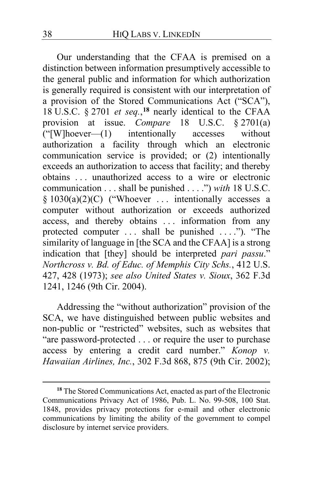Our understanding that the CFAA is premised on a distinction between information presumptively accessible to the general public and information for which authorization is generally required is consistent with our interpretation of a provision of the Stored Communications Act ("SCA"), 18 U.S.C. § 2701 *et seq.*, **[18](#page-37-0)** nearly identical to the CFAA provision at issue. *Compare* 18 U.S.C. § 2701(a)<br>("[W]hoever—(1) intentionally accesses without  $\Gamma$  ("[W]hoever—(1) authorization a facility through which an electronic communication service is provided; or (2) intentionally exceeds an authorization to access that facility; and thereby obtains . . . unauthorized access to a wire or electronic communication . . . shall be punished . . . .") *with* 18 U.S.C. § 1030(a)(2)(C) ("Whoever ... intentionally accesses a computer without authorization or exceeds authorized access, and thereby obtains . . . information from any protected computer ... shall be punished ...."). "The similarity of language in [the SCA and the CFAA] is a strong indication that [they] should be interpreted *pari passu*." *Northcross v. Bd. of Educ. of Memphis City Schs.*, 412 U.S. 427, 428 (1973); *see also United States v. Sioux*, 362 F.3d 1241, 1246 (9th Cir. 2004).

Addressing the "without authorization" provision of the SCA, we have distinguished between public websites and non-public or "restricted" websites, such as websites that "are password-protected . . . or require the user to purchase access by entering a credit card number." *Konop v. Hawaiian Airlines, Inc.*, 302 F.3d 868, 875 (9th Cir. 2002);

<span id="page-37-0"></span>**<sup>18</sup>** The Stored Communications Act, enacted as part of the Electronic Communications Privacy Act of 1986, Pub. L. No. 99-508, 100 Stat. 1848, provides privacy protections for e-mail and other electronic communications by limiting the ability of the government to compel disclosure by internet service providers.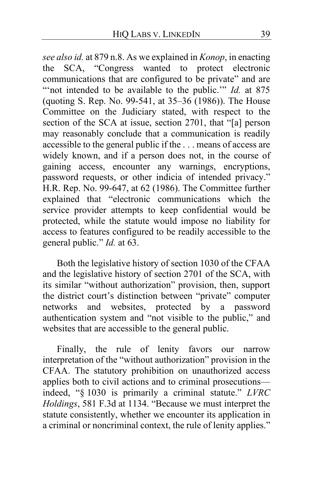*see also id.* at 879 n.8. As we explained in *Konop*, in enacting the SCA, "Congress wanted to protect electronic communications that are configured to be private" and are "not intended to be available to the public." *Id.* at 875 (quoting S. Rep. No. 99-541, at 35–36 (1986)). The House Committee on the Judiciary stated, with respect to the section of the SCA at issue, section 2701, that "[a] person may reasonably conclude that a communication is readily accessible to the general public if the . . . means of access are widely known, and if a person does not, in the course of gaining access, encounter any warnings, encryptions, password requests, or other indicia of intended privacy." H.R. Rep. No. 99-647, at 62 (1986). The Committee further explained that "electronic communications which the service provider attempts to keep confidential would be protected, while the statute would impose no liability for access to features configured to be readily accessible to the general public." *Id.* at 63.

Both the legislative history of section 1030 of the CFAA and the legislative history of section 2701 of the SCA, with its similar "without authorization" provision, then, support the district court's distinction between "private" computer networks and websites, protected by a password authentication system and "not visible to the public," and websites that are accessible to the general public.

Finally, the rule of lenity favors our narrow interpretation of the "without authorization" provision in the CFAA. The statutory prohibition on unauthorized access applies both to civil actions and to criminal prosecutions indeed, "§ 1030 is primarily a criminal statute." *LVRC Holdings*, 581 F.3d at 1134. "Because we must interpret the statute consistently, whether we encounter its application in a criminal or noncriminal context, the rule of lenity applies."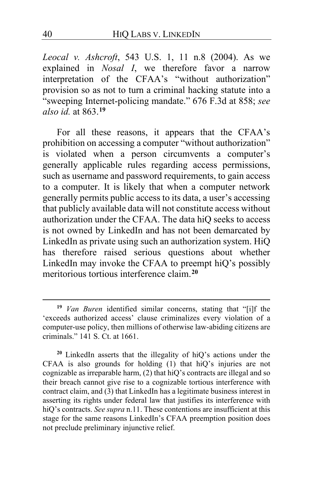*Leocal v. Ashcroft*, 543 U.S. 1, 11 n.8 (2004). As we explained in *Nosal I*, we therefore favor a narrow interpretation of the CFAA's "without authorization" provision so as not to turn a criminal hacking statute into a "sweeping Internet-policing mandate." 676 F.3d at 858; *see also id.* at 863.**[19](#page-39-0)**

For all these reasons, it appears that the CFAA's prohibition on accessing a computer "without authorization" is violated when a person circumvents a computer's generally applicable rules regarding access permissions, such as username and password requirements, to gain access to a computer. It is likely that when a computer network generally permits public access to its data, a user's accessing that publicly available data will not constitute access without authorization under the CFAA. The data hiQ seeks to access is not owned by LinkedIn and has not been demarcated by LinkedIn as private using such an authorization system. HiQ has therefore raised serious questions about whether LinkedIn may invoke the CFAA to preempt hiQ's possibly meritorious tortious interference claim.<sup>[20](#page-39-1)</sup>

<span id="page-39-0"></span>**<sup>19</sup>** *Van Buren* identified similar concerns, stating that "[i]f the 'exceeds authorized access' clause criminalizes every violation of a computer-use policy, then millions of otherwise law-abiding citizens are criminals." 141 S. Ct. at 1661.

<span id="page-39-1"></span>**<sup>20</sup>** LinkedIn asserts that the illegality of hiQ's actions under the CFAA is also grounds for holding (1) that hiQ's injuries are not cognizable as irreparable harm, (2) that hiQ's contracts are illegal and so their breach cannot give rise to a cognizable tortious interference with contract claim, and (3) that LinkedIn has a legitimate business interest in asserting its rights under federal law that justifies its interference with hiQ's contracts. *See supra* n.11. These contentions are insufficient at this stage for the same reasons LinkedIn's CFAA preemption position does not preclude preliminary injunctive relief.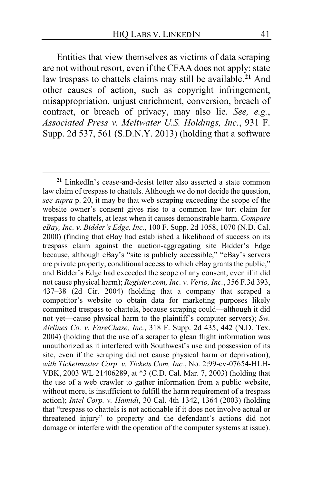Entities that view themselves as victims of data scraping are not without resort, even if the CFAA does not apply: state law trespass to chattels claims may still be available.**[21](#page-40-0)** And other causes of action, such as copyright infringement, misappropriation, unjust enrichment, conversion, breach of contract, or breach of privacy, may also lie. *See, e.g.*, *Associated Press v. Meltwater U.S. Holdings, Inc.*, 931 F. Supp. 2d 537, 561 (S.D.N.Y. 2013) (holding that a software

<span id="page-40-0"></span>**<sup>21</sup>** LinkedIn's cease-and-desist letter also asserted a state common law claim of trespass to chattels. Although we do not decide the question, *see supra* p. [20,](#page-19-1) it may be that web scraping exceeding the scope of the website owner's consent gives rise to a common law tort claim for trespass to chattels, at least when it causes demonstrable harm. *Compare eBay, Inc. v. Bidder's Edge, Inc.*, 100 F. Supp. 2d 1058, 1070 (N.D. Cal. 2000) (finding that eBay had established a likelihood of success on its trespass claim against the auction-aggregating site Bidder's Edge because, although eBay's "site is publicly accessible," "eBay's servers are private property, conditional access to which eBay grants the public," and Bidder's Edge had exceeded the scope of any consent, even if it did not cause physical harm); *Register.com, Inc. v. Verio, Inc.*, 356 F.3d 393, 437–38 (2d Cir. 2004) (holding that a company that scraped a competitor's website to obtain data for marketing purposes likely committed trespass to chattels, because scraping could—although it did not yet—cause physical harm to the plaintiff's computer servers); *Sw. Airlines Co. v. FareChase, Inc.*, 318 F. Supp. 2d 435, 442 (N.D. Tex. 2004) (holding that the use of a scraper to glean flight information was unauthorized as it interfered with Southwest's use and possession of its site, even if the scraping did not cause physical harm or deprivation), *with Ticketmaster Corp. v. Tickets.Com, Inc.*, No. 2:99-cv-07654-HLH-VBK, 2003 WL 21406289, at \*3 (C.D. Cal. Mar. 7, 2003) (holding that the use of a web crawler to gather information from a public website, without more, is insufficient to fulfill the harm requirement of a trespass action); *Intel Corp. v. Hamidi*, 30 Cal. 4th 1342, 1364 (2003) (holding that "trespass to chattels is not actionable if it does not involve actual or threatened injury" to property and the defendant's actions did not damage or interfere with the operation of the computer systems at issue).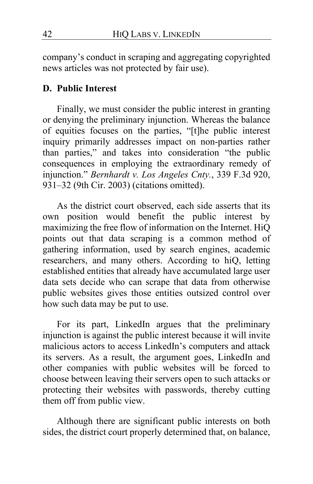company's conduct in scraping and aggregating copyrighted news articles was not protected by fair use).

## **D. Public Interest**

Finally, we must consider the public interest in granting or denying the preliminary injunction. Whereas the balance of equities focuses on the parties, "[t]he public interest inquiry primarily addresses impact on non-parties rather than parties," and takes into consideration "the public consequences in employing the extraordinary remedy of injunction." *Bernhardt v. Los Angeles Cnty.*, 339 F.3d 920, 931–32 (9th Cir. 2003) (citations omitted).

As the district court observed, each side asserts that its own position would benefit the public interest by maximizing the free flow of information on the Internet. HiQ points out that data scraping is a common method of gathering information, used by search engines, academic researchers, and many others. According to hiQ, letting established entities that already have accumulated large user data sets decide who can scrape that data from otherwise public websites gives those entities outsized control over how such data may be put to use.

For its part, LinkedIn argues that the preliminary injunction is against the public interest because it will invite malicious actors to access LinkedIn's computers and attack its servers. As a result, the argument goes, LinkedIn and other companies with public websites will be forced to choose between leaving their servers open to such attacks or protecting their websites with passwords, thereby cutting them off from public view.

Although there are significant public interests on both sides, the district court properly determined that, on balance,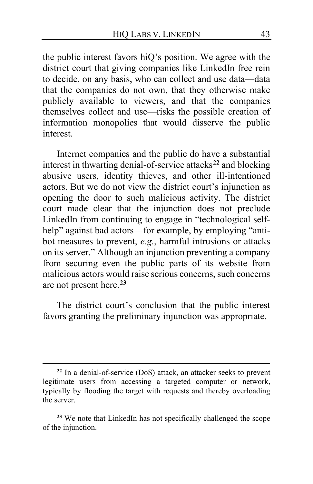the public interest favors hiQ's position. We agree with the district court that giving companies like LinkedIn free rein to decide, on any basis, who can collect and use data—data that the companies do not own, that they otherwise make publicly available to viewers, and that the companies themselves collect and use—risks the possible creation of information monopolies that would disserve the public interest.

Internet companies and the public do have a substantial interest in thwarting denial-of-service attacks**[22](#page-42-0)** and blocking abusive users, identity thieves, and other ill-intentioned actors. But we do not view the district court's injunction as opening the door to such malicious activity. The district court made clear that the injunction does not preclude LinkedIn from continuing to engage in "technological selfhelp" against bad actors—for example, by employing "antibot measures to prevent, *e.g.*, harmful intrusions or attacks on its server." Although an injunction preventing a company from securing even the public parts of its website from malicious actors would raise serious concerns, such concerns are not present here.**[23](#page-42-1)**

The district court's conclusion that the public interest favors granting the preliminary injunction was appropriate.

<span id="page-42-0"></span>**<sup>22</sup>** In a denial-of-service (DoS) attack, an attacker seeks to prevent legitimate users from accessing a targeted computer or network, typically by flooding the target with requests and thereby overloading the server.

<span id="page-42-1"></span>**<sup>23</sup>** We note that LinkedIn has not specifically challenged the scope of the injunction.